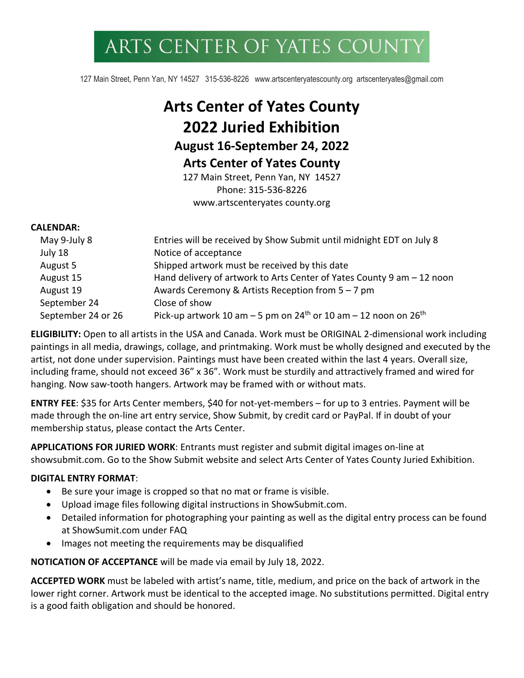# ARTS CENTER OF YATES COUNT

127 Main Street, Penn Yan, NY 14527 315-536-8226 www.artscenteryatescounty.org artscenteryates@gmail.com

# **Arts Center of Yates County 2022 Juried Exhibition August 16-September 24, 2022 Arts Center of Yates County** 127 Main Street, Penn Yan, NY 14527

Phone: 315-536-8226 www.artscenteryates county.org

#### **CALENDAR:**

| May 9-July 8       | Entries will be received by Show Submit until midnight EDT on July 8                      |
|--------------------|-------------------------------------------------------------------------------------------|
| July 18            | Notice of acceptance                                                                      |
| August 5           | Shipped artwork must be received by this date                                             |
| August 15          | Hand delivery of artwork to Arts Center of Yates County 9 am - 12 noon                    |
| August 19          | Awards Ceremony & Artists Reception from 5 - 7 pm                                         |
| September 24       | Close of show                                                                             |
| September 24 or 26 | Pick-up artwork 10 am $-5$ pm on 24 <sup>th</sup> or 10 am $-12$ noon on 26 <sup>th</sup> |

**ELIGIBILITY:** Open to all artists in the USA and Canada. Work must be ORIGINAL 2-dimensional work including paintings in all media, drawings, collage, and printmaking. Work must be wholly designed and executed by the artist, not done under supervision. Paintings must have been created within the last 4 years. Overall size, including frame, should not exceed 36" x 36". Work must be sturdily and attractively framed and wired for hanging. Now saw-tooth hangers. Artwork may be framed with or without mats.

**ENTRY FEE**: \$35 for Arts Center members, \$40 for not-yet-members – for up to 3 entries. Payment will be made through the on-line art entry service, Show Submit, by credit card or PayPal. If in doubt of your membership status, please contact the Arts Center.

**APPLICATIONS FOR JURIED WORK**: Entrants must register and submit digital images on-line at showsubmit.com. Go to the Show Submit website and select Arts Center of Yates County Juried Exhibition.

#### **DIGITAL ENTRY FORMAT**:

- Be sure your image is cropped so that no mat or frame is visible.
- Upload image files following digital instructions in ShowSubmit.com.
- Detailed information for photographing your painting as well as the digital entry process can be found at ShowSumit.com under FAQ
- Images not meeting the requirements may be disqualified

**NOTICATION OF ACCEPTANCE** will be made via email by July 18, 2022.

**ACCEPTED WORK** must be labeled with artist's name, title, medium, and price on the back of artwork in the lower right corner. Artwork must be identical to the accepted image. No substitutions permitted. Digital entry is a good faith obligation and should be honored.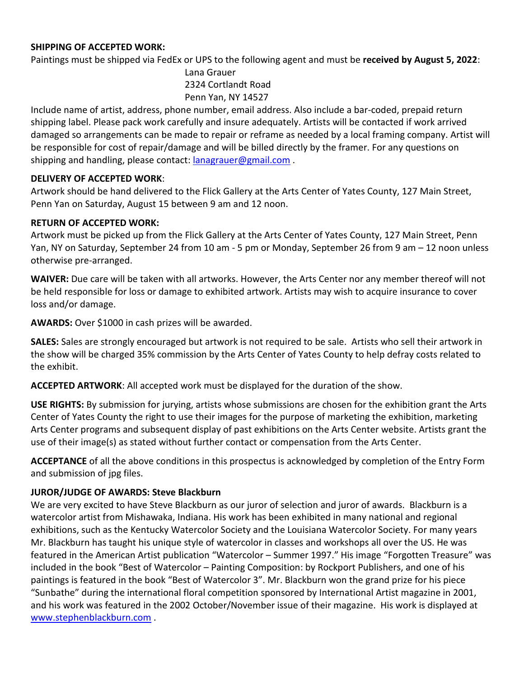#### **SHIPPING OF ACCEPTED WORK:**

Paintings must be shipped via FedEx or UPS to the following agent and must be **received by August 5, 2022**:

Lana Grauer 2324 Cortlandt Road Penn Yan, NY 14527

Include name of artist, address, phone number, email address. Also include a bar-coded, prepaid return shipping label. Please pack work carefully and insure adequately. Artists will be contacted if work arrived damaged so arrangements can be made to repair or reframe as needed by a local framing company. Artist will be responsible for cost of repair/damage and will be billed directly by the framer. For any questions on shipping and handling, please contact: lanagrauer@gmail.com.

## **DELIVERY OF ACCEPTED WORK**:

Artwork should be hand delivered to the Flick Gallery at the Arts Center of Yates County, 127 Main Street, Penn Yan on Saturday, August 15 between 9 am and 12 noon.

## **RETURN OF ACCEPTED WORK:**

Artwork must be picked up from the Flick Gallery at the Arts Center of Yates County, 127 Main Street, Penn Yan, NY on Saturday, September 24 from 10 am - 5 pm or Monday, September 26 from 9 am – 12 noon unless otherwise pre-arranged.

**WAIVER:** Due care will be taken with all artworks. However, the Arts Center nor any member thereof will not be held responsible for loss or damage to exhibited artwork. Artists may wish to acquire insurance to cover loss and/or damage.

**AWARDS:** Over \$1000 in cash prizes will be awarded.

**SALES:** Sales are strongly encouraged but artwork is not required to be sale. Artists who sell their artwork in the show will be charged 35% commission by the Arts Center of Yates County to help defray costs related to the exhibit.

**ACCEPTED ARTWORK**: All accepted work must be displayed for the duration of the show.

**USE RIGHTS:** By submission for jurying, artists whose submissions are chosen for the exhibition grant the Arts Center of Yates County the right to use their images for the purpose of marketing the exhibition, marketing Arts Center programs and subsequent display of past exhibitions on the Arts Center website. Artists grant the use of their image(s) as stated without further contact or compensation from the Arts Center.

**ACCEPTANCE** of all the above conditions in this prospectus is acknowledged by completion of the Entry Form and submission of jpg files.

# **JUROR/JUDGE OF AWARDS: Steve Blackburn**

We are very excited to have Steve Blackburn as our juror of selection and juror of awards. Blackburn is a watercolor artist from Mishawaka, Indiana. His work has been exhibited in many national and regional exhibitions, such as the Kentucky Watercolor Society and the Louisiana Watercolor Society. For many years Mr. Blackburn has taught his unique style of watercolor in classes and workshops all over the US. He was featured in the American Artist publication "Watercolor – Summer 1997." His image "Forgotten Treasure" was included in the book "Best of Watercolor – Painting Composition: by Rockport Publishers, and one of his paintings is featured in the book "Best of Watercolor 3". Mr. Blackburn won the grand prize for his piece "Sunbathe" during the international floral competition sponsored by International Artist magazine in 2001, and his work was featured in the 2002 October/November issue of their magazine. His work is displayed at www.stephenblackburn.com .